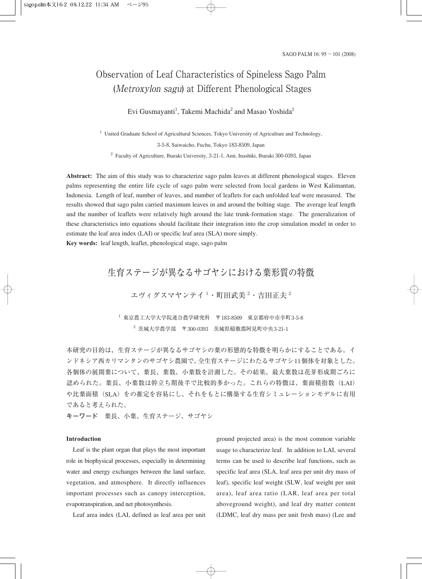# Observation of Leaf Characteristics of Spineless Sago Palm (Metroxylon sagu) at Different Phenological Stages

Evi Gusmayanti<sup>1</sup>, Takemi Machida<sup>2</sup> and Masao Yoshida<sup>2</sup>

<sup>1</sup> United Graduate School of Agricultural Sciences, Tokyo University of Agriculture and Technology, 3-5-8, Saiwaicho, Fuchu, Tokyo 183-8509, Japan <sup>2</sup> Faculty of Agriculture, Ibaraki University, 3-21-1, Ami, Inashiki, Ibaraki 300-0393, Japan

**Abstract:** The aim of this study was to characterize sago palm leaves at different phenological stages. Eleven palms representing the entire life cycle of sago palm were selected from local gardens in West Kalimantan, Indonesia. Length of leaf, number of leaves, and number of leaflets for each unfolded leaf were measured. The results showed that sago palm carried maximum leaves in and around the bolting stage. The average leaf length and the number of leaflets were relatively high around the late trunk-formation stage. The generalization of these characteristics into equations should facilitate their integration into the crop simulation model in order to estimate the leaf area index (LAI) or specific leaf area (SLA) more simply.

**Key words:** leaf length, leaflet, phenological stage, sago palm

# 生育ステージが異なるサゴヤシにおける葉形質の特徴

エヴィグスマヤンテイ $^1$ ・町田武美 $^2$ ・吉田正夫  $^2$ 

 $^{-1}$  東京農工大学大学院連合農学研究科 〒183-8509 東京都府中市幸町3-5-8  $2\,$  茨城大学農学部 〒300-0393 茨城県稲敷郡阿見町中央3-21-1

本研究の目的は、生育ステージが異なるサゴヤシの葉の形態的な特徴を明らかにすることである。イ ンドネシア西カリマンタンのサゴヤシ農園で、全生育ステージにわたるサゴヤシ11個体を対象とした。 各個体の展開葉について、葉長、葉数、小葉数を計測した。その結果、最大葉数は花芽形成期ごろに 認められた。葉長、小葉数は幹立ち期後半で比較的多かった。これらの特徴は、葉面積指数(LAI) や比葉面積(SLA)をの推定を容易にし、それをもとに構築する生育シミュレーションモデルに有用 であると考えられた。

**キーワード** 葉長、小葉、生育ステージ、サゴヤシ

# **Introduction**

Leaf is the plant organ that plays the most important role in biophysical processes, especially in determining water and energy exchanges between the land surface, vegetation, and atmosphere. It directly influences important processes such as canopy interception, evapotranspiration, and net photosynthesis.

Leaf area index (LAI, defined as leaf area per unit

ground projected area) is the most common variable usage to characterize leaf. In addition to LAI, several terms can be used to describe leaf functions, such as specific leaf area (SLA, leaf area per unit dry mass of leaf), specific leaf weight (SLW, leaf weight per unit area), leaf area ratio (LAR, leaf area per total aboveground weight), and leaf dry matter content (LDMC, leaf dry mass per unit fresh mass) (Lee and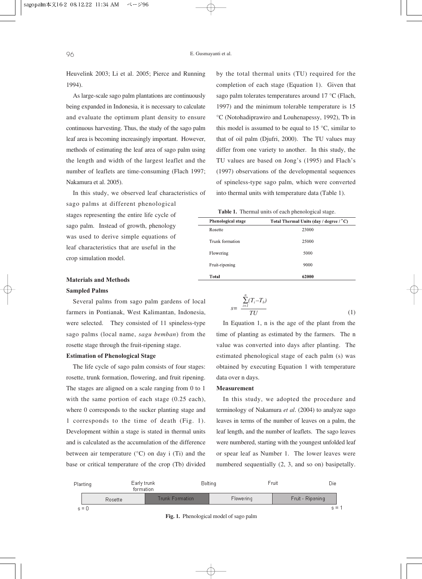Heuvelink 2003; Li et al. 2005; Pierce and Running 1994).

As large-scale sago palm plantations are continuously being expanded in Indonesia, it is necessary to calculate and evaluate the optimum plant density to ensure continuous harvesting. Thus, the study of the sago palm leaf area is becoming increasingly important. However, methods of estimating the leaf area of sago palm using the length and width of the largest leaflet and the number of leaflets are time-consuming (Flach 1997; Nakamura et al. 2005).

In this study, we observed leaf characteristics of sago palms at different phenological stages representing the entire life cycle of sago palm. Instead of growth, phenology was used to derive simple equations of leaf characteristics that are useful in the crop simulation model.

# **Materials and Methods**

# **Sampled Palms**

Several palms from sago palm gardens of local farmers in Pontianak, West Kalimantan, Indonesia, were selected. They consisted of 11 spineless-type sago palms (local name, *sagu bemban*) from the rosette stage through the fruit-ripening stage.

# **Estimation of Phenological Stage**

The life cycle of sago palm consists of four stages: rosette, trunk formation, flowering, and fruit ripening. The stages are aligned on a scale ranging from 0 to 1 with the same portion of each stage (0.25 each), where 0 corresponds to the sucker planting stage and 1 corresponds to the time of death (Fig. 1). Development within a stage is stated in thermal units and is calculated as the accumulation of the difference between air temperature  $(^{\circ}C)$  on day i (Ti) and the base or critical temperature of the crop (Tb) divided by the total thermal units (TU) required for the completion of each stage (Equation 1). Given that sago palm tolerates temperatures around 17 °C (Flach, 1997) and the minimum tolerable temperature is 15 °C (Notohadiprawiro and Louhenapessy, 1992), Tb in this model is assumed to be equal to 15  $\degree$ C, similar to that of oil palm (Djufri, 2000). The TU values may differ from one variety to another. In this study, the TU values are based on Jong's (1995) and Flach's (1997) observations of the developmental sequences of spineless-type sago palm, which were converted into thermal units with temperature data (Table 1).

|  | Table 1. Thermal units of each phenological stage. |  |  |  |  |  |
|--|----------------------------------------------------|--|--|--|--|--|
|--|----------------------------------------------------|--|--|--|--|--|

| <b>Phenological stage</b> | Total Thermal Units (day / degree / °C) |
|---------------------------|-----------------------------------------|
| Rosette                   | 23000                                   |
| Trunk formation           | 25000                                   |
| Flowering                 | 5000                                    |
| Fruit-ripening            | 9000                                    |
| Total                     | 62000                                   |

$$
s = \frac{\sum_{i=1}^{n} (T_i - T_b)}{TU}
$$
\n
$$
(1)
$$

In Equation 1, n is the age of the plant from the time of planting as estimated by the farmers. The n value was converted into days after planting. The estimated phenological stage of each palm (s) was obtained by executing Equation 1 with temperature data over n days.

#### **Measurement**

In this study, we adopted the procedure and terminology of Nakamura *et al*. (2004) to analyze sago leaves in terms of the number of leaves on a palm, the leaf length, and the number of leaflets. The sago leaves were numbered, starting with the youngest unfolded leaf or spear leaf as Number 1. The lower leaves were numbered sequentially (2, 3, and so on) basipetally.

| Planting |         | Early trunk<br>formation | <b>Bolting</b> |                  | Fruit<br>Die     |  |
|----------|---------|--------------------------|----------------|------------------|------------------|--|
|          | Rosette | <b>Trunk Formation</b>   |                | <b>Flowering</b> | Fruit - Ripening |  |
| $s = 0$  |         |                          |                |                  | $s =$            |  |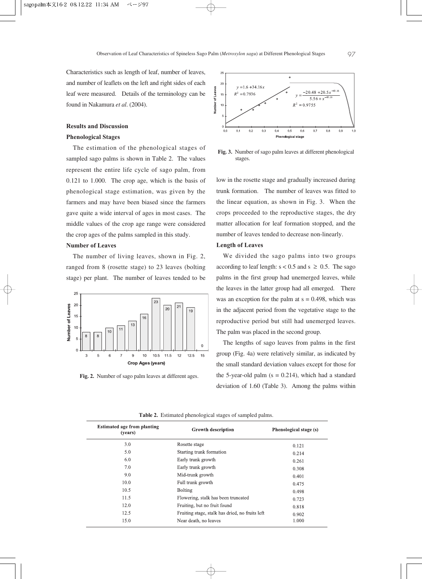Characteristics such as length of leaf, number of leaves, and number of leaflets on the left and right sides of each leaf were measured. Details of the terminology can be found in Nakamura *et al*. (2004).

#### **Results and Discussion**

# **Phenological Stages**

The estimation of the phenological stages of sampled sago palms is shown in Table 2. The values represent the entire life cycle of sago palm, from 0.121 to 1.000. The crop age, which is the basis of phenological stage estimation, was given by the farmers and may have been biased since the farmers gave quite a wide interval of ages in most cases. The middle values of the crop age range were considered the crop ages of the palms sampled in this study.

# **Number of Leaves**

The number of living leaves, shown in Fig. 2, ranged from 8 (rosette stage) to 23 leaves (bolting stage) per plant. The number of leaves tended to be



**Fig. 2.** Number of sago palm leaves at different ages.



**Fig. 3.** Number of sago palm leaves at different phenological stages.

low in the rosette stage and gradually increased during trunk formation. The number of leaves was fitted to the linear equation, as shown in Fig. 3. When the crops proceeded to the reproductive stages, the dry matter allocation for leaf formation stopped, and the number of leaves tended to decrease non-linearly.

# **Length of Leaves**

We divided the sago palms into two groups according to leaf length:  $s < 0.5$  and  $s \ge 0.5$ . The sago palms in the first group had unemerged leaves, while the leaves in the latter group had all emerged. There was an exception for the palm at  $s = 0.498$ , which was in the adjacent period from the vegetative stage to the reproductive period but still had unemerged leaves. The palm was placed in the second group.

The lengths of sago leaves from palms in the first group (Fig. 4a) were relatively similar, as indicated by the small standard deviation values except for those for the 5-year-old palm  $(s = 0.214)$ , which had a standard deviation of 1.60 (Table 3). Among the palms within

| <b>Estimated age from planting</b><br>(years) | <b>Growth description</b>                       | Phenological stage (s) |  |
|-----------------------------------------------|-------------------------------------------------|------------------------|--|
| 3.0                                           | Rosette stage                                   | 0.121                  |  |
| 5.0                                           | Starting trunk formation                        | 0.214                  |  |
| 6.0                                           | Early trunk growth                              | 0.261                  |  |
| 7.0                                           | Early trunk growth                              | 0.308                  |  |
| 9.0                                           | Mid-trunk growth                                | 0.401                  |  |
| 10.0                                          | Full trunk growth                               | 0.475                  |  |
| 10.5                                          | <b>Bolting</b>                                  | 0.498                  |  |
| 11.5                                          | Flowering, stalk has been truncated             | 0.723                  |  |
| 12.0                                          | Fruiting, but no fruit found                    | 0.818                  |  |
| 12.5                                          | Fruiting stage, stalk has dried, no fruits left | 0.902                  |  |
| 15.0                                          | Near death, no leaves                           | 1.000                  |  |

**Table 2.** Estimated phenological stages of sampled palms.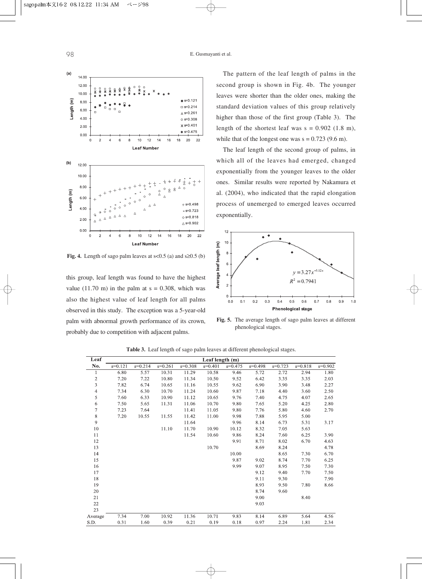

**Fig. 4.** Length of sago palm leaves at s<0.5 (a) and s≥0.5 (b)

this group, leaf length was found to have the highest value (11.70 m) in the palm at  $s = 0.308$ , which was also the highest value of leaf length for all palms observed in this study. The exception was a 5-year-old palm with abnormal growth performance of its crown, probably due to competition with adjacent palms.

The pattern of the leaf length of palms in the second group is shown in Fig. 4b. The younger leaves were shorter than the older ones, making the standard deviation values of this group relatively higher than those of the first group (Table 3). The length of the shortest leaf was  $s = 0.902$  (1.8 m), while that of the longest one was  $s = 0.723$  (9.6 m).

The leaf length of the second group of palms, in which all of the leaves had emerged, changed exponentially from the younger leaves to the older ones. Similar results were reported by Nakamura et al. (2004), who indicated that the rapid elongation process of unemerged to emerged leaves occurred exponentially.



**Fig. 5.** The average length of sago palm leaves at different phenological stages.

| Leaf         | Leaf length (m) |           |           |           |             |             |           |           |             |           |
|--------------|-----------------|-----------|-----------|-----------|-------------|-------------|-----------|-----------|-------------|-----------|
| No.          | $s=0.121$       | $s=0.214$ | $s=0.261$ | $s=0.308$ | $s = 0.401$ | $s = 0.475$ | $s=0.498$ | $s=0.723$ | $s = 0.818$ | $s=0.902$ |
| 1            | 6.80            | 5.57      | 10.31     | 11.29     | 10.58       | 9.46        | 5.72      | 2.72      | 2.94        | 1.80      |
| $\mathbf{2}$ | 7.20            | 7.22      | 10.80     | 11.34     | 10.50       | 9.52        | 6.42      | 3.35      | 3.35        | 2.03      |
| 3            | 7.82            | 6.74      | 10.65     | 11.16     | 10.55       | 9.62        | 6.90      | 3.90      | 3.48        | 2.27      |
| 4            | 7.34            | 6.30      | 10.70     | 11.24     | 10.60       | 9.87        | 7.18      | 4.40      | 3.60        | 2.50      |
| 5            | 7.60            | 6.33      | 10.90     | 11.12     | 10.65       | 9.76        | 7.40      | 4.75      | 4.07        | 2.65      |
| 6            | 7.50            | 5.65      | 11.31     | 11.06     | 10.70       | 9.80        | 7.65      | 5.20      | 4.25        | 2.80      |
| 7            | 7.23            | 7.64      |           | 11.41     | 11.05       | 9.80        | 7.76      | 5.80      | 4.60        | 2.70      |
| $8\,$        | 7.20            | 10.55     | 11.55     | 11.42     | 11.00       | 9.98        | 7.88      | 5.95      | 5.00        |           |
| 9            |                 |           |           | 11.64     |             | 9.96        | 8.14      | 6.73      | 5.31        | 3.17      |
| 10           |                 |           | 11.10     | 11.70     | 10.90       | 10.12       | 8.32      | 7.05      | 5.63        |           |
| 11           |                 |           |           | 11.54     | 10.60       | 9.86        | 8.24      | 7.60      | 6.25        | 3.90      |
| 12           |                 |           |           |           |             | 9.91        | 8.71      | 8.02      | 6.70        | 4.63      |
| 13           |                 |           |           |           | 10.70       |             | 8.69      | 8.24      |             | 4.78      |
| 14           |                 |           |           |           |             | 10.00       |           | 8.65      | 7.30        | 6.70      |
| 15           |                 |           |           |           |             | 9.87        | 9.02      | 8.74      | 7.70        | 6.25      |
| 16           |                 |           |           |           |             | 9.99        | 9.07      | 8.95      | 7.50        | 7.30      |
| 17           |                 |           |           |           |             |             | 9.12      | 9.40      | 7.70        | 7.50      |
| 18           |                 |           |           |           |             |             | 9.11      | 9.30      |             | 7.90      |
| 19           |                 |           |           |           |             |             | 8.93      | 9.50      | 7.80        | 8.66      |
| 20           |                 |           |           |           |             |             | 8.74      | 9.60      |             |           |
| 21           |                 |           |           |           |             |             | 9.00      |           | 8.40        |           |
| 22           |                 |           |           |           |             |             | 9.03      |           |             |           |
| 23           |                 |           |           |           |             |             |           |           |             |           |
| Average      | 7.34            | 7.00      | 10.92     | 11.36     | 10.71       | 9.83        | 8.14      | 6.89      | 5.64        | 4.56      |
| S.D.         | 0.31            | 1.60      | 0.39      | 0.21      | 0.19        | 0.18        | 0.97      | 2.24      | 1.81        | 2.34      |
|              |                 |           |           |           |             |             |           |           |             |           |

**Table 3.** Leaf length of sago palm leaves at different phenological stages.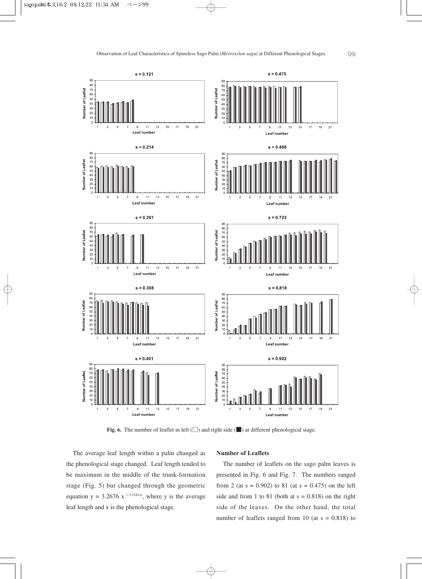

**Fig. 6.** The number of leaflet in left (□) and right side (■) at different phenological stage.

The average leaf length within a palm changed as the phenological stage changed. Leaf length tended to be maximum in the middle of the trunk-formation stage (Fig. 5) but changed through the geometric equation  $y = 3.2676$  x <sup>(-3.1181x)</sup>, where y is the average leaf length and x is the phenological stage.

#### **Number of Leaflets**

The number of leaflets on the sago palm leaves is presented in Fig. 6 and Fig. 7. The numbers ranged from 2 (at  $s = 0.902$ ) to 81 (at  $s = 0.475$ ) on the left side and from 1 to 81 (both at  $s = 0.818$ ) on the right side of the leaves. On the other hand, the total number of leaflets ranged from 10 (at  $s = 0.818$ ) to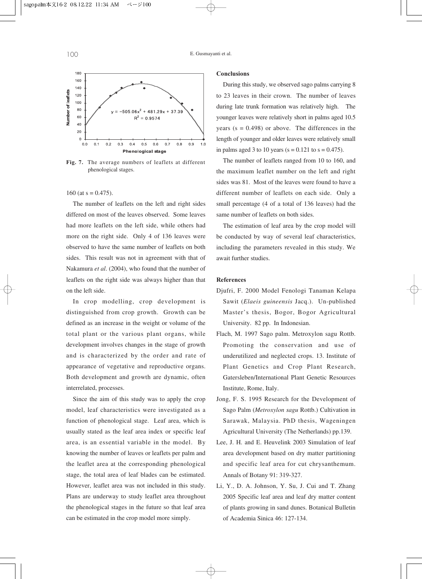

**Fig. 7.** The average numbers of leaflets at different phenological stages.

# 160 (at  $s = 0.475$ ).

The number of leaflets on the left and right sides differed on most of the leaves observed. Some leaves had more leaflets on the left side, while others had more on the right side. Only 4 of 136 leaves were observed to have the same number of leaflets on both sides. This result was not in agreement with that of Nakamura *et al*. (2004), who found that the number of leaflets on the right side was always higher than that on the left side.

In crop modelling, crop development is distinguished from crop growth. Growth can be defined as an increase in the weight or volume of the total plant or the various plant organs, while development involves changes in the stage of growth and is characterized by the order and rate of appearance of vegetative and reproductive organs. Both development and growth are dynamic, often interrelated, processes.

Since the aim of this study was to apply the crop model, leaf characteristics were investigated as a function of phenological stage. Leaf area, which is usually stated as the leaf area index or specific leaf area, is an essential variable in the model. By knowing the number of leaves or leaflets per palm and the leaflet area at the corresponding phenological stage, the total area of leaf blades can be estimated. However, leaflet area was not included in this study. Plans are underway to study leaflet area throughout the phenological stages in the future so that leaf area can be estimated in the crop model more simply.

#### **Conclusions**

During this study, we observed sago palms carrying 8 to 23 leaves in their crown. The number of leaves during late trunk formation was relatively high. The younger leaves were relatively short in palms aged 10.5 years ( $s = 0.498$ ) or above. The differences in the length of younger and older leaves were relatively small in palms aged 3 to 10 years ( $s = 0.121$  to  $s = 0.475$ ).

The number of leaflets ranged from 10 to 160, and the maximum leaflet number on the left and right sides was 81. Most of the leaves were found to have a different number of leaflets on each side. Only a small percentage (4 of a total of 136 leaves) had the same number of leaflets on both sides.

The estimation of leaf area by the crop model will be conducted by way of several leaf characteristics, including the parameters revealed in this study. We await further studies.

# **References**

- Djufri, F. 2000 Model Fenologi Tanaman Kelapa Sawit (*Elaeis guineensis* Jacq.). Un-published Master's thesis, Bogor, Bogor Agricultural University. 82 pp. In Indonesian.
- Flach, M. 1997 Sago palm. Metroxylon sagu Rottb. Promoting the conservation and use of underutilized and neglected crops. 13. Institute of Plant Genetics and Crop Plant Research, Gatersleben/International Plant Genetic Resources Institute, Rome, Italy.
- Jong, F. S. 1995 Research for the Development of Sago Palm (*Metroxylon sagu* Rottb.) Cultivation in Sarawak, Malaysia. PhD thesis, Wageningen Agricultural University (The Netherlands) pp.139.
- Lee, J. H. and E. Heuvelink 2003 Simulation of leaf area development based on dry matter partitioning and specific leaf area for cut chrysanthemum. Annals of Botany 91: 319-327.
- Li, Y., D. A. Johnson, Y. Su, J. Cui and T. Zhang 2005 Specific leaf area and leaf dry matter content of plants growing in sand dunes. Botanical Bulletin of Academia Sinica 46: 127-134.